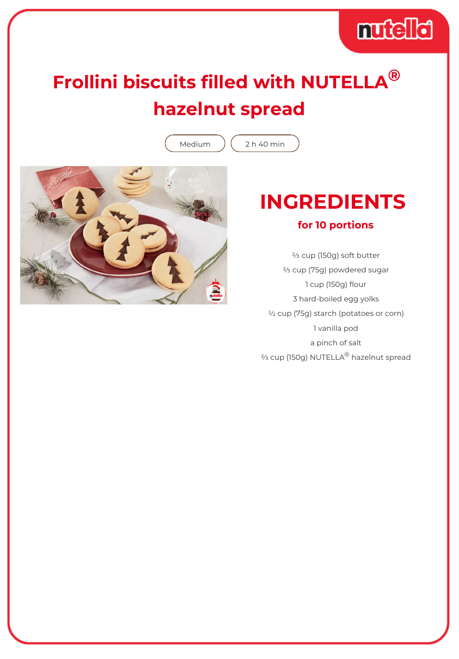# muddid

## **Frollini biscuits filled with NUTELLA® hazelnut spread**

Medium  $(2)h$  40 min



### **INGREDIENTS for 10 portions**

⅔ cup (150g) soft butter ⅔ cup (75g) powdered sugar 1 cup (150g) flour 3 hard-boiled egg yolks ½ cup (75g) starch (potatoes or corn) 1 vanilla pod a pinch of salt ⅔ cup (150g) NUTELLA® hazelnut spread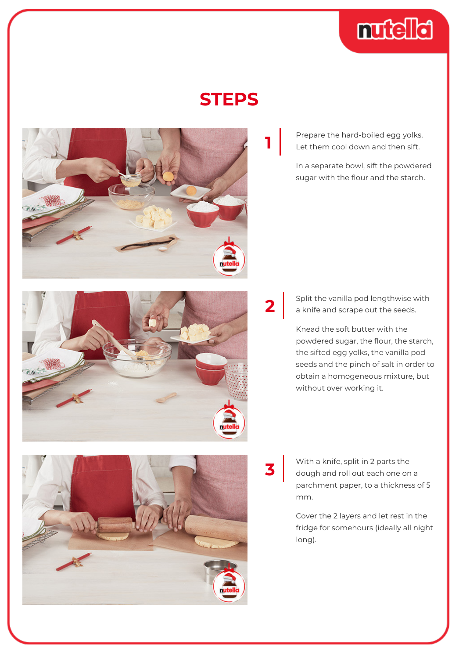

#### **STEPS**



Prepare the hard-boiled egg yolks. Let them cool down and then sift.

In a separate bowl, sift the powdered sugar with the flour and the starch.



Knead the soft butter with the powdered sugar, the flour, the starch, the sifted egg yolks, the vanilla pod seeds and the pinch of salt in order to obtain a homogeneous mixture, but without over working it.

With a knife, split in 2 parts the dough and roll out each one on a parchment paper, to a thickness of 5 mm.

**3**

Cover the 2 layers and let rest in the fridge for somehours (ideally all night long).